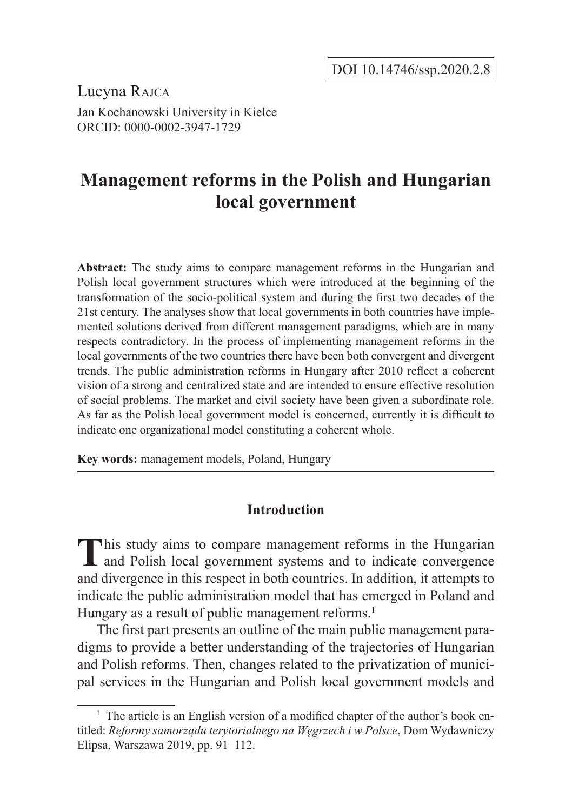Lucyna Rajca Jan Kochanowski University in Kielce ORCID: 0000-0002-3947-1729

# **Management reforms in the Polish and Hungarian local government**

**Abstract:** The study aims to compare management reforms in the Hungarian and Polish local government structures which were introduced at the beginning of the transformation of the socio-political system and during the first two decades of the 21st century. The analyses show that local governments in both countries have implemented solutions derived from different management paradigms, which are in many respects contradictory. In the process of implementing management reforms in the local governments of the two countries there have been both convergent and divergent trends. The public administration reforms in Hungary after 2010 reflect a coherent vision of a strong and centralized state and are intended to ensure effective resolution of social problems. The market and civil society have been given a subordinate role. As far as the Polish local government model is concerned, currently it is difficult to indicate one organizational model constituting a coherent whole.

**Key words:** management models, Poland, Hungary

## **Introduction**

This study aims to compare management reforms in the Hungarian **L** and Polish local government systems and to indicate convergence and divergence in this respect in both countries. In addition, it attempts to indicate the public administration model that has emerged in Poland and Hungary as a result of public management reforms.<sup>1</sup>

The first part presents an outline of the main public management paradigms to provide a better understanding of the trajectories of Hungarian and Polish reforms. Then, changes related to the privatization of municipal services in the Hungarian and Polish local government models and

<sup>&</sup>lt;sup>1</sup> The article is an English version of a modified chapter of the author's book entitled: *Reformy samorządu terytorialnego na Węgrzech i w Polsce*, Dom Wydawniczy Elipsa, Warszawa 2019, pp. 91–112.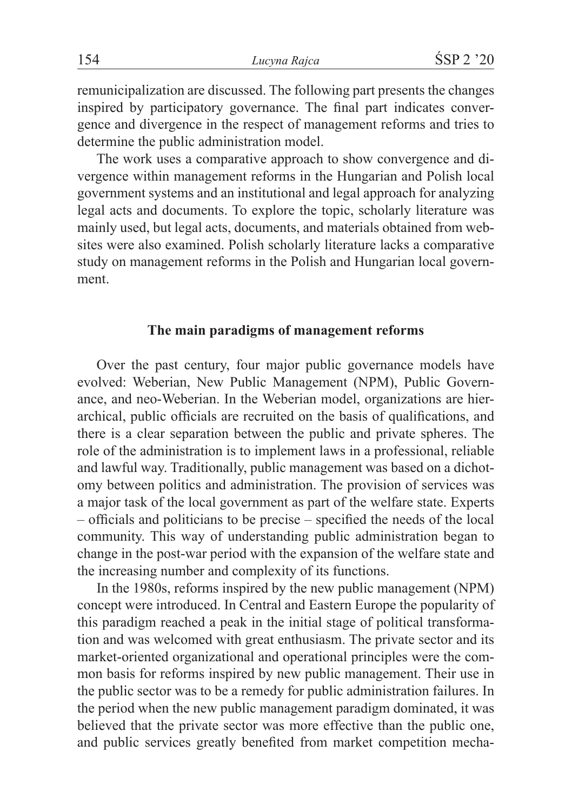remunicipalization are discussed. The following part presents the changes inspired by participatory governance. The final part indicates convergence and divergence in the respect of management reforms and tries to determine the public administration model.

The work uses a comparative approach to show convergence and divergence within management reforms in the Hungarian and Polish local government systems and an institutional and legal approach for analyzing legal acts and documents. To explore the topic, scholarly literature was mainly used, but legal acts, documents, and materials obtained from websites were also examined. Polish scholarly literature lacks a comparative study on management reforms in the Polish and Hungarian local government.

## **The main paradigms of management reforms**

Over the past century, four major public governance models have evolved: Weberian, New Public Management (NPM), Public Governance, and neo-Weberian. In the Weberian model, organizations are hierarchical, public officials are recruited on the basis of qualifications, and there is a clear separation between the public and private spheres. The role of the administration is to implement laws in a professional, reliable and lawful way. Traditionally, public management was based on a dichotomy between politics and administration. The provision of services was a major task of the local government as part of the welfare state. Experts – officials and politicians to be precise – specified the needs of the local community. This way of understanding public administration began to change in the post-war period with the expansion of the welfare state and the increasing number and complexity of its functions.

In the 1980s, reforms inspired by the new public management (NPM) concept were introduced. In Central and Eastern Europe the popularity of this paradigm reached a peak in the initial stage of political transformation and was welcomed with great enthusiasm. The private sector and its market-oriented organizational and operational principles were the common basis for reforms inspired by new public management. Their use in the public sector was to be a remedy for public administration failures. In the period when the new public management paradigm dominated, it was believed that the private sector was more effective than the public one, and public services greatly benefited from market competition mecha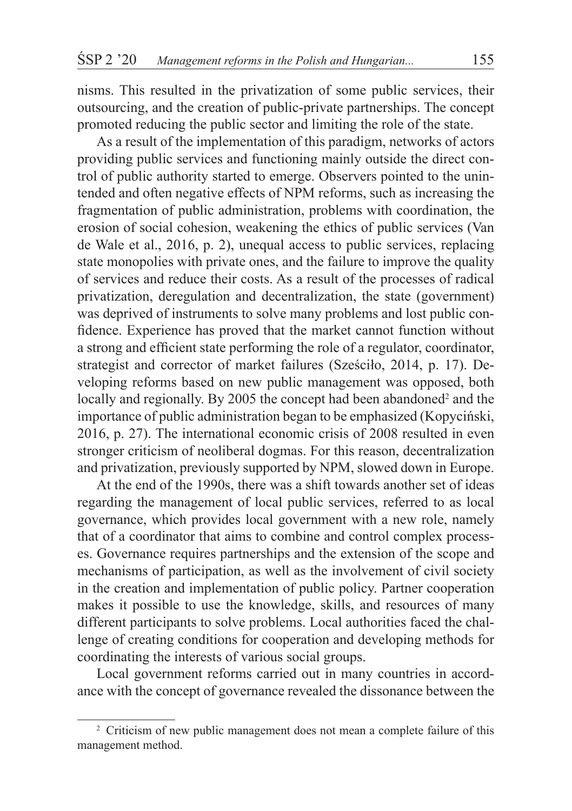nisms. This resulted in the privatization of some public services, their outsourcing, and the creation of public-private partnerships. The concept promoted reducing the public sector and limiting the role of the state.

As a result of the implementation of this paradigm, networks of actors providing public services and functioning mainly outside the direct control of public authority started to emerge. Observers pointed to the unintended and often negative effects of NPM reforms, such as increasing the fragmentation of public administration, problems with coordination, the erosion of social cohesion, weakening the ethics of public services (Van de Wale et al., 2016, p. 2), unequal access to public services, replacing state monopolies with private ones, and the failure to improve the quality of services and reduce their costs. As a result of the processes of radical privatization, deregulation and decentralization, the state (government) was deprived of instruments to solve many problems and lost public confidence. Experience has proved that the market cannot function without a strong and efficient state performing the role of a regulator, coordinator, strategist and corrector of market failures (Sześciło, 2014, p. 17). Developing reforms based on new public management was opposed, both locally and regionally. By 2005 the concept had been abandoned<sup>2</sup> and the importance of public administration began to be emphasized (Kopyciński, 2016, p. 27). The international economic crisis of 2008 resulted in even stronger criticism of neoliberal dogmas. For this reason, decentralization and privatization, previously supported by NPM, slowed down in Europe.

At the end of the 1990s, there was a shift towards another set of ideas regarding the management of local public services, referred to as local governance, which provides local government with a new role, namely that of a coordinator that aims to combine and control complex processes. Governance requires partnerships and the extension of the scope and mechanisms of participation, as well as the involvement of civil society in the creation and implementation of public policy. Partner cooperation makes it possible to use the knowledge, skills, and resources of many different participants to solve problems. Local authorities faced the challenge of creating conditions for cooperation and developing methods for coordinating the interests of various social groups.

Local government reforms carried out in many countries in accordance with the concept of governance revealed the dissonance between the

<sup>&</sup>lt;sup>2</sup> Criticism of new public management does not mean a complete failure of this management method.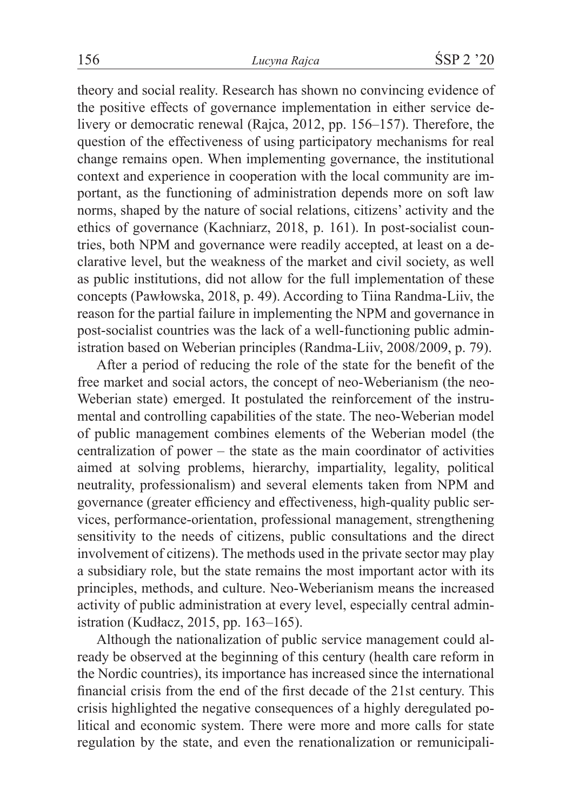theory and social reality. Research has shown no convincing evidence of the positive effects of governance implementation in either service delivery or democratic renewal (Rajca, 2012, pp. 156–157). Therefore, the question of the effectiveness of using participatory mechanisms for real change remains open. When implementing governance, the institutional context and experience in cooperation with the local community are important, as the functioning of administration depends more on soft law norms, shaped by the nature of social relations, citizens' activity and the ethics of governance (Kachniarz, 2018, p. 161). In post-socialist countries, both NPM and governance were readily accepted, at least on a declarative level, but the weakness of the market and civil society, as well as public institutions, did not allow for the full implementation of these concepts (Pawłowska, 2018, p. 49). According to Tiina Randma-Liiv, the reason for the partial failure in implementing the NPM and governance in post-socialist countries was the lack of a well-functioning public administration based on Weberian principles (Randma-Liiv, 2008/2009, p. 79).

After a period of reducing the role of the state for the benefit of the free market and social actors, the concept of neo-Weberianism (the neo-Weberian state) emerged. It postulated the reinforcement of the instrumental and controlling capabilities of the state. The neo-Weberian model of public management combines elements of the Weberian model (the centralization of power – the state as the main coordinator of activities aimed at solving problems, hierarchy, impartiality, legality, political neutrality, professionalism) and several elements taken from NPM and governance (greater efficiency and effectiveness, high-quality public services, performance-orientation, professional management, strengthening sensitivity to the needs of citizens, public consultations and the direct involvement of citizens). The methods used in the private sector may play a subsidiary role, but the state remains the most important actor with its principles, methods, and culture. Neo-Weberianism means the increased activity of public administration at every level, especially central administration (Kudłacz, 2015, pp. 163–165).

Although the nationalization of public service management could already be observed at the beginning of this century (health care reform in the Nordic countries), its importance has increased since the international financial crisis from the end of the first decade of the 21st century. This crisis highlighted the negative consequences of a highly deregulated political and economic system. There were more and more calls for state regulation by the state, and even the renationalization or remunicipali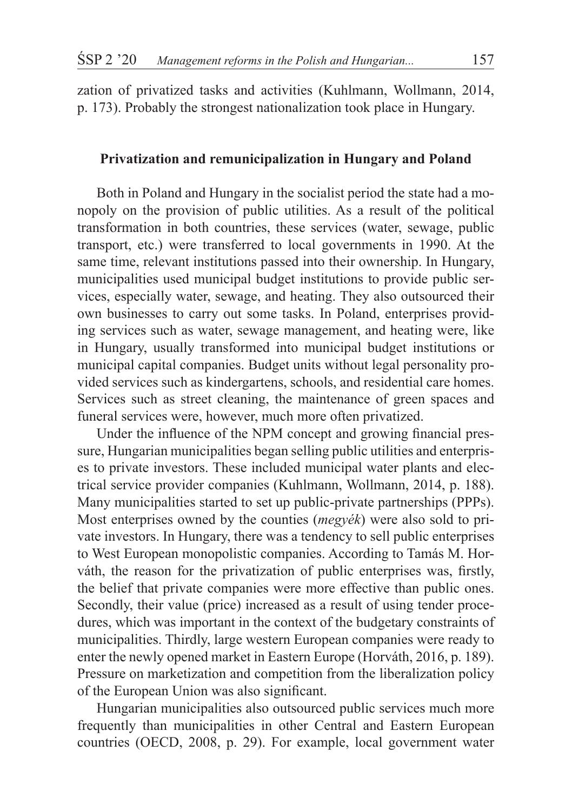zation of privatized tasks and activities (Kuhlmann, Wollmann, 2014, p. 173). Probably the strongest nationalization took place in Hungary.

### **Privatization and remunicipalization in Hungary and Poland**

Both in Poland and Hungary in the socialist period the state had a monopoly on the provision of public utilities. As a result of the political transformation in both countries, these services (water, sewage, public transport, etc.) were transferred to local governments in 1990. At the same time, relevant institutions passed into their ownership. In Hungary, municipalities used municipal budget institutions to provide public services, especially water, sewage, and heating. They also outsourced their own businesses to carry out some tasks. In Poland, enterprises providing services such as water, sewage management, and heating were, like in Hungary, usually transformed into municipal budget institutions or municipal capital companies. Budget units without legal personality provided services such as kindergartens, schools, and residential care homes. Services such as street cleaning, the maintenance of green spaces and funeral services were, however, much more often privatized.

Under the influence of the NPM concept and growing financial pressure, Hungarian municipalities began selling public utilities and enterprises to private investors. These included municipal water plants and electrical service provider companies (Kuhlmann, Wollmann, 2014, p. 188). Many municipalities started to set up public-private partnerships (PPPs). Most enterprises owned by the counties (*megyék*) were also sold to private investors. In Hungary, there was a tendency to sell public enterprises to West European monopolistic companies. According to Tamás M. Horváth, the reason for the privatization of public enterprises was, firstly, the belief that private companies were more effective than public ones. Secondly, their value (price) increased as a result of using tender procedures, which was important in the context of the budgetary constraints of municipalities. Thirdly, large western European companies were ready to enter the newly opened market in Eastern Europe (Horváth, 2016, p. 189). Pressure on marketization and competition from the liberalization policy of the European Union was also significant.

Hungarian municipalities also outsourced public services much more frequently than municipalities in other Central and Eastern European countries (OECD, 2008, p. 29). For example, local government water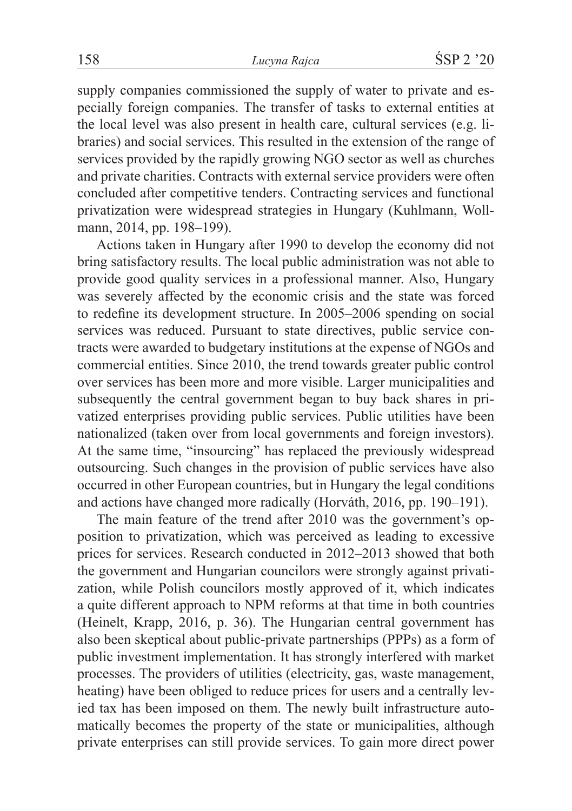supply companies commissioned the supply of water to private and especially foreign companies. The transfer of tasks to external entities at the local level was also present in health care, cultural services (e.g. libraries) and social services. This resulted in the extension of the range of services provided by the rapidly growing NGO sector as well as churches and private charities. Contracts with external service providers were often concluded after competitive tenders. Contracting services and functional privatization were widespread strategies in Hungary (Kuhlmann, Wollmann, 2014, pp. 198–199).

Actions taken in Hungary after 1990 to develop the economy did not bring satisfactory results. The local public administration was not able to provide good quality services in a professional manner. Also, Hungary was severely affected by the economic crisis and the state was forced to redefine its development structure. In 2005–2006 spending on social services was reduced. Pursuant to state directives, public service contracts were awarded to budgetary institutions at the expense of NGOs and commercial entities. Since 2010, the trend towards greater public control over services has been more and more visible. Larger municipalities and subsequently the central government began to buy back shares in privatized enterprises providing public services. Public utilities have been nationalized (taken over from local governments and foreign investors). At the same time, "insourcing" has replaced the previously widespread outsourcing. Such changes in the provision of public services have also occurred in other European countries, but in Hungary the legal conditions and actions have changed more radically (Horváth, 2016, pp. 190–191).

The main feature of the trend after 2010 was the government's opposition to privatization, which was perceived as leading to excessive prices for services. Research conducted in 2012–2013 showed that both the government and Hungarian councilors were strongly against privatization, while Polish councilors mostly approved of it, which indicates a quite different approach to NPM reforms at that time in both countries (Heinelt, Krapp, 2016, p. 36). The Hungarian central government has also been skeptical about public-private partnerships (PPPs) as a form of public investment implementation. It has strongly interfered with market processes. The providers of utilities (electricity, gas, waste management, heating) have been obliged to reduce prices for users and a centrally levied tax has been imposed on them. The newly built infrastructure automatically becomes the property of the state or municipalities, although private enterprises can still provide services. To gain more direct power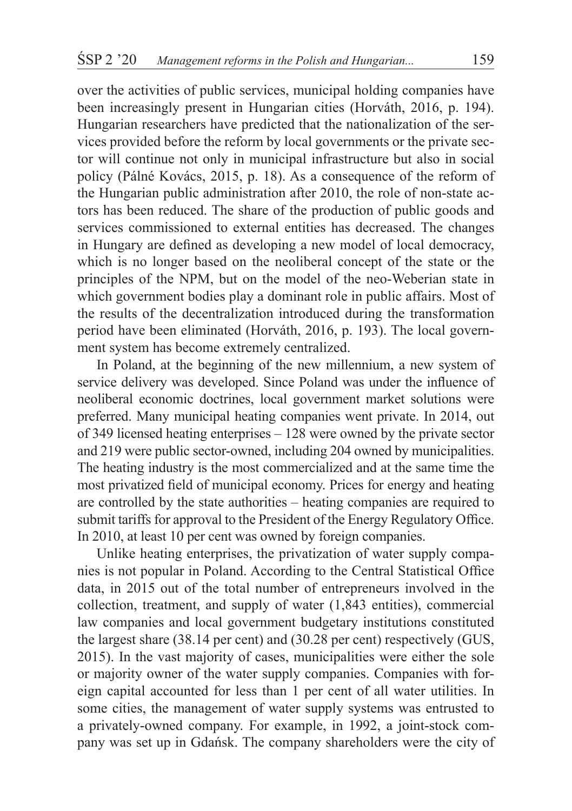over the activities of public services, municipal holding companies have been increasingly present in Hungarian cities (Horváth, 2016, p. 194). Hungarian researchers have predicted that the nationalization of the services provided before the reform by local governments or the private sector will continue not only in municipal infrastructure but also in social policy (Pálné Kovács, 2015, p. 18). As a consequence of the reform of the Hungarian public administration after 2010, the role of non-state actors has been reduced. The share of the production of public goods and services commissioned to external entities has decreased. The changes in Hungary are defined as developing a new model of local democracy, which is no longer based on the neoliberal concept of the state or the principles of the NPM, but on the model of the neo-Weberian state in which government bodies play a dominant role in public affairs. Most of the results of the decentralization introduced during the transformation period have been eliminated (Horváth, 2016, p. 193). The local government system has become extremely centralized.

In Poland, at the beginning of the new millennium, a new system of service delivery was developed. Since Poland was under the influence of neoliberal economic doctrines, local government market solutions were preferred. Many municipal heating companies went private. In 2014, out of 349 licensed heating enterprises – 128 were owned by the private sector and 219 were public sector-owned, including 204 owned by municipalities. The heating industry is the most commercialized and at the same time the most privatized field of municipal economy. Prices for energy and heating are controlled by the state authorities – heating companies are required to submit tariffs for approval to the President of the Energy Regulatory Office. In 2010, at least 10 per cent was owned by foreign companies.

Unlike heating enterprises, the privatization of water supply companies is not popular in Poland. According to the Central Statistical Office data, in 2015 out of the total number of entrepreneurs involved in the collection, treatment, and supply of water (1,843 entities), commercial law companies and local government budgetary institutions constituted the largest share (38.14 per cent) and (30.28 per cent) respectively (GUS, 2015). In the vast majority of cases, municipalities were either the sole or majority owner of the water supply companies. Companies with foreign capital accounted for less than 1 per cent of all water utilities. In some cities, the management of water supply systems was entrusted to a privately-owned company. For example, in 1992, a joint-stock company was set up in Gdańsk. The company shareholders were the city of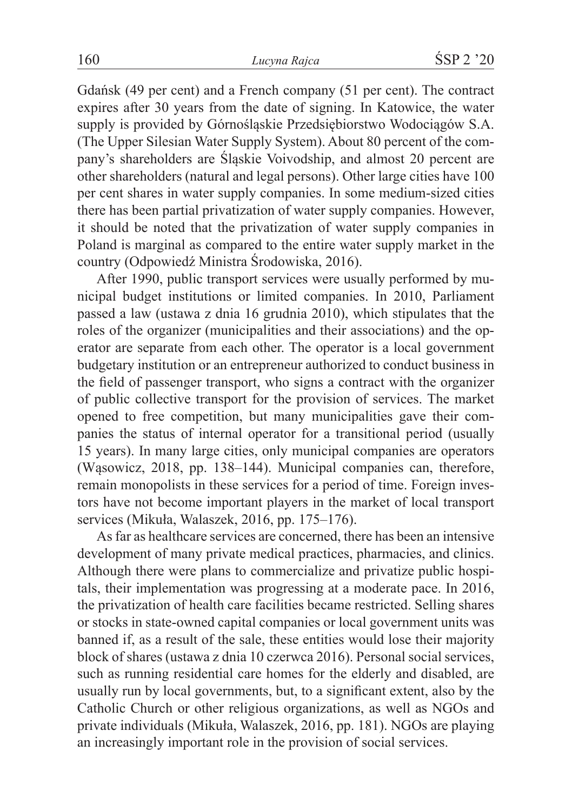Gdańsk (49 per cent) and a French company (51 per cent). The contract expires after 30 years from the date of signing. In Katowice, the water supply is provided by Górnośląskie Przedsiębiorstwo Wodociągów S.A. (The Upper Silesian Water Supply System). About 80 percent of the company's shareholders are Śląskie Voivodship, and almost 20 percent are other shareholders (natural and legal persons). Other large cities have 100 per cent shares in water supply companies. In some medium-sized cities there has been partial privatization of water supply companies. However, it should be noted that the privatization of water supply companies in Poland is marginal as compared to the entire water supply market in the country (Odpowiedź Ministra Środowiska, 2016).

After 1990, public transport services were usually performed by municipal budget institutions or limited companies. In 2010, Parliament passed a law (ustawa z dnia 16 grudnia 2010), which stipulates that the roles of the organizer (municipalities and their associations) and the operator are separate from each other. The operator is a local government budgetary institution or an entrepreneur authorized to conduct business in the field of passenger transport, who signs a contract with the organizer of public collective transport for the provision of services. The market opened to free competition, but many municipalities gave their companies the status of internal operator for a transitional period (usually 15 years). In many large cities, only municipal companies are operators (Wąsowicz, 2018, pp. 138–144). Municipal companies can, therefore, remain monopolists in these services for a period of time. Foreign investors have not become important players in the market of local transport services (Mikuła, Walaszek, 2016, pp. 175–176).

As far as healthcare services are concerned, there has been an intensive development of many private medical practices, pharmacies, and clinics. Although there were plans to commercialize and privatize public hospitals, their implementation was progressing at a moderate pace. In 2016, the privatization of health care facilities became restricted. Selling shares or stocks in state-owned capital companies or local government units was banned if, as a result of the sale, these entities would lose their majority block of shares (ustawa z dnia 10 czerwca 2016). Personal social services, such as running residential care homes for the elderly and disabled, are usually run by local governments, but, to a significant extent, also by the Catholic Church or other religious organizations, as well as NGOs and private individuals (Mikuła, Walaszek, 2016, pp. 181). NGOs are playing an increasingly important role in the provision of social services.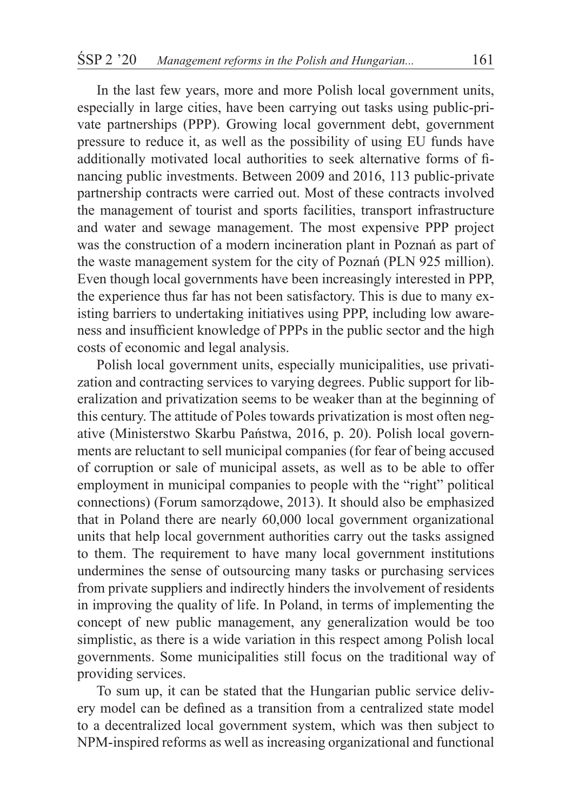In the last few years, more and more Polish local government units, especially in large cities, have been carrying out tasks using public-private partnerships (PPP). Growing local government debt, government pressure to reduce it, as well as the possibility of using EU funds have additionally motivated local authorities to seek alternative forms of financing public investments. Between 2009 and 2016, 113 public-private partnership contracts were carried out. Most of these contracts involved the management of tourist and sports facilities, transport infrastructure and water and sewage management. The most expensive PPP project was the construction of a modern incineration plant in Poznań as part of the waste management system for the city of Poznań (PLN 925 million). Even though local governments have been increasingly interested in PPP, the experience thus far has not been satisfactory. This is due to many existing barriers to undertaking initiatives using PPP, including low awareness and insufficient knowledge of PPPs in the public sector and the high costs of economic and legal analysis.

Polish local government units, especially municipalities, use privatization and contracting services to varying degrees. Public support for liberalization and privatization seems to be weaker than at the beginning of this century. The attitude of Poles towards privatization is most often negative (Ministerstwo Skarbu Państwa, 2016, p. 20). Polish local governments are reluctant to sell municipal companies (for fear of being accused of corruption or sale of municipal assets, as well as to be able to offer employment in municipal companies to people with the "right" political connections) (Forum samorządowe, 2013). It should also be emphasized that in Poland there are nearly 60,000 local government organizational units that help local government authorities carry out the tasks assigned to them. The requirement to have many local government institutions undermines the sense of outsourcing many tasks or purchasing services from private suppliers and indirectly hinders the involvement of residents in improving the quality of life. In Poland, in terms of implementing the concept of new public management, any generalization would be too simplistic, as there is a wide variation in this respect among Polish local governments. Some municipalities still focus on the traditional way of providing services.

To sum up, it can be stated that the Hungarian public service delivery model can be defined as a transition from a centralized state model to a decentralized local government system, which was then subject to NPM-inspired reforms as well as increasing organizational and functional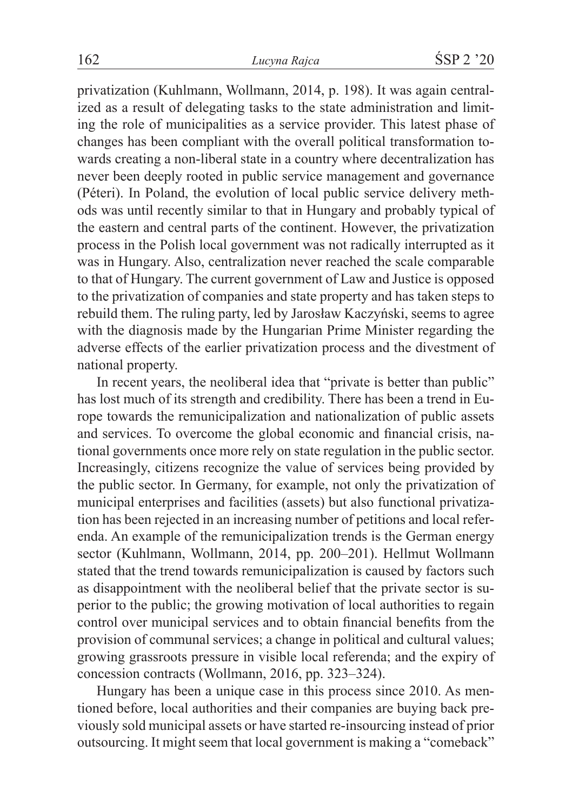privatization (Kuhlmann, Wollmann, 2014, p. 198). It was again centralized as a result of delegating tasks to the state administration and limiting the role of municipalities as a service provider. This latest phase of changes has been compliant with the overall political transformation towards creating a non-liberal state in a country where decentralization has never been deeply rooted in public service management and governance (Péteri). In Poland, the evolution of local public service delivery methods was until recently similar to that in Hungary and probably typical of the eastern and central parts of the continent. However, the privatization process in the Polish local government was not radically interrupted as it was in Hungary. Also, centralization never reached the scale comparable to that of Hungary. The current government of Law and Justice is opposed to the privatization of companies and state property and has taken steps to rebuild them. The ruling party, led by Jarosław Kaczyński, seems to agree with the diagnosis made by the Hungarian Prime Minister regarding the adverse effects of the earlier privatization process and the divestment of national property.

In recent years, the neoliberal idea that "private is better than public" has lost much of its strength and credibility. There has been a trend in Europe towards the remunicipalization and nationalization of public assets and services. To overcome the global economic and financial crisis, national governments once more rely on state regulation in the public sector. Increasingly, citizens recognize the value of services being provided by the public sector. In Germany, for example, not only the privatization of municipal enterprises and facilities (assets) but also functional privatization has been rejected in an increasing number of petitions and local referenda. An example of the remunicipalization trends is the German energy sector (Kuhlmann, Wollmann, 2014, pp. 200–201). Hellmut Wollmann stated that the trend towards remunicipalization is caused by factors such as disappointment with the neoliberal belief that the private sector is superior to the public; the growing motivation of local authorities to regain control over municipal services and to obtain financial benefits from the provision of communal services; a change in political and cultural values; growing grassroots pressure in visible local referenda; and the expiry of concession contracts (Wollmann, 2016, pp. 323–324).

Hungary has been a unique case in this process since 2010. As mentioned before, local authorities and their companies are buying back previously sold municipal assets or have started re-insourcing instead of prior outsourcing. It might seem that local government is making a "comeback"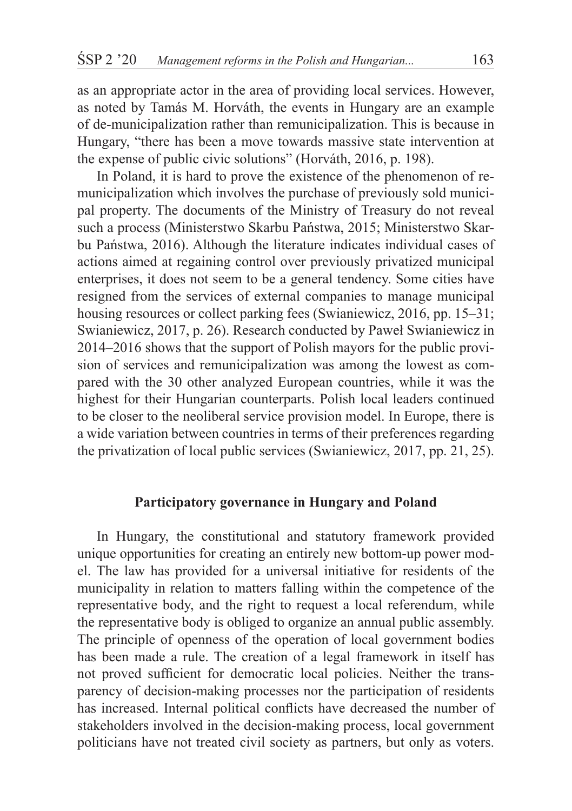as an appropriate actor in the area of providing local services. However, as noted by Tamás M. Horváth, the events in Hungary are an example of de-municipalization rather than remunicipalization. This is because in Hungary, "there has been a move towards massive state intervention at the expense of public civic solutions" (Horváth, 2016, p. 198).

In Poland, it is hard to prove the existence of the phenomenon of remunicipalization which involves the purchase of previously sold municipal property. The documents of the Ministry of Treasury do not reveal such a process (Ministerstwo Skarbu Państwa, 2015; Ministerstwo Skarbu Państwa, 2016). Although the literature indicates individual cases of actions aimed at regaining control over previously privatized municipal enterprises, it does not seem to be a general tendency. Some cities have resigned from the services of external companies to manage municipal housing resources or collect parking fees (Swianiewicz, 2016, pp. 15–31; Swianiewicz, 2017, p. 26). Research conducted by Paweł Swianiewicz in 2014–2016 shows that the support of Polish mayors for the public provision of services and remunicipalization was among the lowest as compared with the 30 other analyzed European countries, while it was the highest for their Hungarian counterparts. Polish local leaders continued to be closer to the neoliberal service provision model. In Europe, there is a wide variation between countries in terms of their preferences regarding the privatization of local public services (Swianiewicz, 2017, pp. 21, 25).

# **Participatory governance in Hungary and Poland**

In Hungary, the constitutional and statutory framework provided unique opportunities for creating an entirely new bottom-up power model. The law has provided for a universal initiative for residents of the municipality in relation to matters falling within the competence of the representative body, and the right to request a local referendum, while the representative body is obliged to organize an annual public assembly. The principle of openness of the operation of local government bodies has been made a rule. The creation of a legal framework in itself has not proved sufficient for democratic local policies. Neither the transparency of decision-making processes nor the participation of residents has increased. Internal political conflicts have decreased the number of stakeholders involved in the decision-making process, local government politicians have not treated civil society as partners, but only as voters.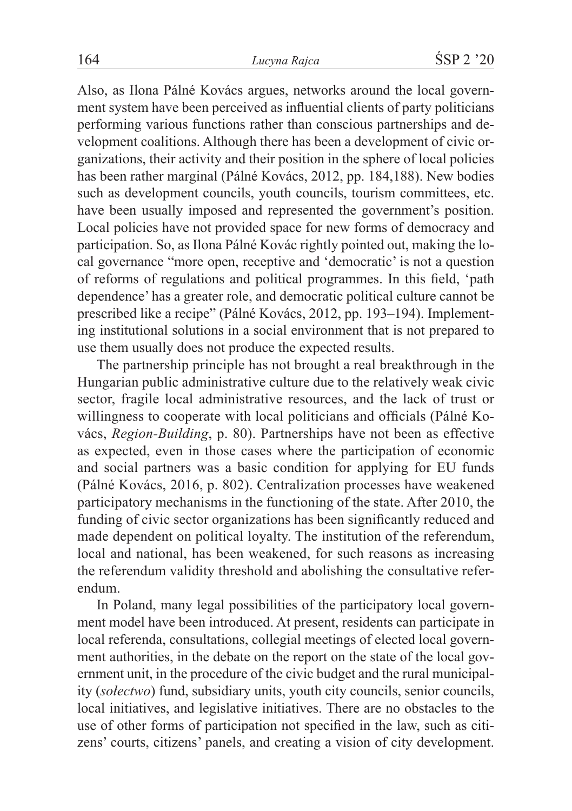Also, as Ilona Pálné Kovács argues, networks around the local government system have been perceived as influential clients of party politicians performing various functions rather than conscious partnerships and development coalitions. Although there has been a development of civic organizations, their activity and their position in the sphere of local policies has been rather marginal (Pálné Kovács, 2012, pp. 184,188). New bodies such as development councils, youth councils, tourism committees, etc. have been usually imposed and represented the government's position. Local policies have not provided space for new forms of democracy and participation. So, as Ilona Pálné Kovác rightly pointed out, making the local governance "more open, receptive and 'democratic' is not a question of reforms of regulations and political programmes. In this field, 'path dependence' has a greater role, and democratic political culture cannot be prescribed like a recipe" (Pálné Kovács, 2012, pp. 193–194). Implementing institutional solutions in a social environment that is not prepared to use them usually does not produce the expected results.

The partnership principle has not brought a real breakthrough in the Hungarian public administrative culture due to the relatively weak civic sector, fragile local administrative resources, and the lack of trust or willingness to cooperate with local politicians and officials (Pálné Kovács, *Region-Building*, p. 80). Partnerships have not been as effective as expected, even in those cases where the participation of economic and social partners was a basic condition for applying for EU funds (Pálné Kovács, 2016, p. 802). Centralization processes have weakened participatory mechanisms in the functioning of the state. After 2010, the funding of civic sector organizations has been significantly reduced and made dependent on political loyalty. The institution of the referendum, local and national, has been weakened, for such reasons as increasing the referendum validity threshold and abolishing the consultative referendum.

In Poland, many legal possibilities of the participatory local government model have been introduced. At present, residents can participate in local referenda, consultations, collegial meetings of elected local government authorities, in the debate on the report on the state of the local government unit, in the procedure of the civic budget and the rural municipality (*sołectwo*) fund, subsidiary units, youth city councils, senior councils, local initiatives, and legislative initiatives. There are no obstacles to the use of other forms of participation not specified in the law, such as citizens' courts, citizens' panels, and creating a vision of city development.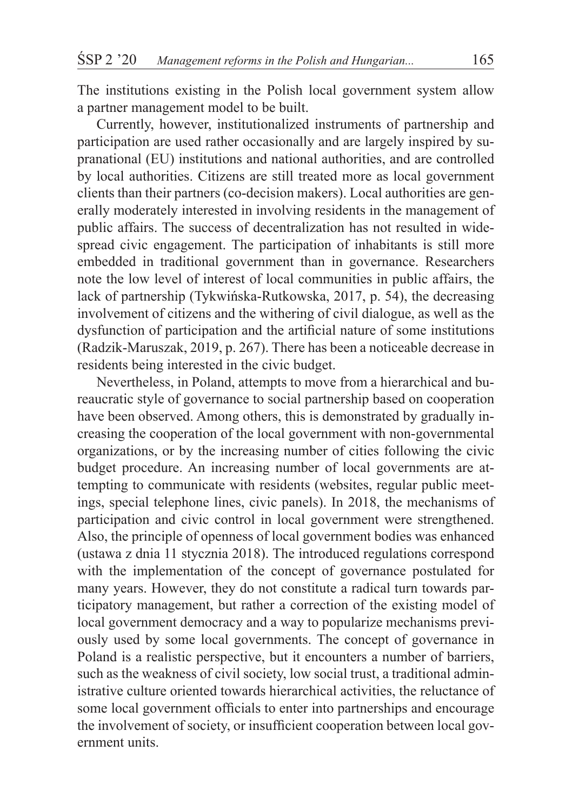The institutions existing in the Polish local government system allow a partner management model to be built.

Currently, however, institutionalized instruments of partnership and participation are used rather occasionally and are largely inspired by supranational (EU) institutions and national authorities, and are controlled by local authorities. Citizens are still treated more as local government clients than their partners (co-decision makers). Local authorities are generally moderately interested in involving residents in the management of public affairs. The success of decentralization has not resulted in widespread civic engagement. The participation of inhabitants is still more embedded in traditional government than in governance. Researchers note the low level of interest of local communities in public affairs, the lack of partnership (Tykwińska-Rutkowska, 2017, p. 54), the decreasing involvement of citizens and the withering of civil dialogue, as well as the dysfunction of participation and the artificial nature of some institutions (Radzik-Maruszak, 2019, p. 267). There has been a noticeable decrease in residents being interested in the civic budget.

Nevertheless, in Poland, attempts to move from a hierarchical and bureaucratic style of governance to social partnership based on cooperation have been observed. Among others, this is demonstrated by gradually increasing the cooperation of the local government with non-governmental organizations, or by the increasing number of cities following the civic budget procedure. An increasing number of local governments are attempting to communicate with residents (websites, regular public meetings, special telephone lines, civic panels). In 2018, the mechanisms of participation and civic control in local government were strengthened. Also, the principle of openness of local government bodies was enhanced (ustawa z dnia 11 stycznia 2018). The introduced regulations correspond with the implementation of the concept of governance postulated for many years. However, they do not constitute a radical turn towards participatory management, but rather a correction of the existing model of local government democracy and a way to popularize mechanisms previously used by some local governments. The concept of governance in Poland is a realistic perspective, but it encounters a number of barriers, such as the weakness of civil society, low social trust, a traditional administrative culture oriented towards hierarchical activities, the reluctance of some local government officials to enter into partnerships and encourage the involvement of society, or insufficient cooperation between local government units.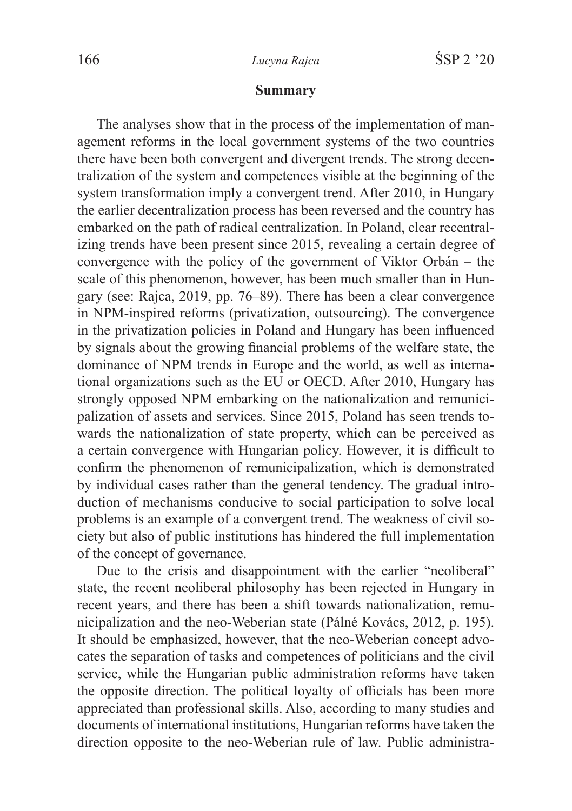#### **Summary**

The analyses show that in the process of the implementation of management reforms in the local government systems of the two countries there have been both convergent and divergent trends. The strong decentralization of the system and competences visible at the beginning of the system transformation imply a convergent trend. After 2010, in Hungary the earlier decentralization process has been reversed and the country has embarked on the path of radical centralization. In Poland, clear recentralizing trends have been present since 2015, revealing a certain degree of convergence with the policy of the government of Viktor Orbán – the scale of this phenomenon, however, has been much smaller than in Hungary (see: Rajca, 2019, pp. 76–89). There has been a clear convergence in NPM-inspired reforms (privatization, outsourcing). The convergence in the privatization policies in Poland and Hungary has been influenced by signals about the growing financial problems of the welfare state, the dominance of NPM trends in Europe and the world, as well as international organizations such as the EU or OECD. After 2010, Hungary has strongly opposed NPM embarking on the nationalization and remunicipalization of assets and services. Since 2015, Poland has seen trends towards the nationalization of state property, which can be perceived as a certain convergence with Hungarian policy. However, it is difficult to confirm the phenomenon of remunicipalization, which is demonstrated by individual cases rather than the general tendency. The gradual introduction of mechanisms conducive to social participation to solve local problems is an example of a convergent trend. The weakness of civil society but also of public institutions has hindered the full implementation of the concept of governance.

Due to the crisis and disappointment with the earlier "neoliberal" state, the recent neoliberal philosophy has been rejected in Hungary in recent years, and there has been a shift towards nationalization, remunicipalization and the neo-Weberian state (Pálné Kovács, 2012, p. 195). It should be emphasized, however, that the neo-Weberian concept advocates the separation of tasks and competences of politicians and the civil service, while the Hungarian public administration reforms have taken the opposite direction. The political loyalty of officials has been more appreciated than professional skills. Also, according to many studies and documents of international institutions, Hungarian reforms have taken the direction opposite to the neo-Weberian rule of law. Public administra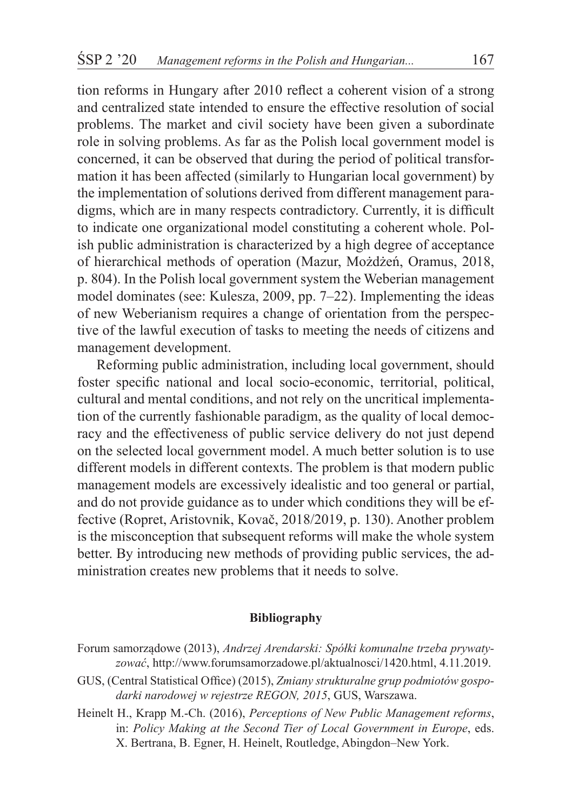tion reforms in Hungary after 2010 reflect a coherent vision of a strong and centralized state intended to ensure the effective resolution of social problems. The market and civil society have been given a subordinate role in solving problems. As far as the Polish local government model is concerned, it can be observed that during the period of political transformation it has been affected (similarly to Hungarian local government) by the implementation of solutions derived from different management paradigms, which are in many respects contradictory. Currently, it is difficult to indicate one organizational model constituting a coherent whole. Polish public administration is characterized by a high degree of acceptance of hierarchical methods of operation (Mazur, Możdżeń, Oramus, 2018, p. 804). In the Polish local government system the Weberian management model dominates (see: Kulesza, 2009, pp. 7–22). Implementing the ideas of new Weberianism requires a change of orientation from the perspective of the lawful execution of tasks to meeting the needs of citizens and management development.

Reforming public administration, including local government, should foster specific national and local socio-economic, territorial, political, cultural and mental conditions, and not rely on the uncritical implementation of the currently fashionable paradigm, as the quality of local democracy and the effectiveness of public service delivery do not just depend on the selected local government model. A much better solution is to use different models in different contexts. The problem is that modern public management models are excessively idealistic and too general or partial, and do not provide guidance as to under which conditions they will be effective (Ropret, Aristovnik, Kovač, 2018/2019, p. 130). Another problem is the misconception that subsequent reforms will make the whole system better. By introducing new methods of providing public services, the administration creates new problems that it needs to solve.

#### **Bibliography**

- Forum samorządowe (2013), *Andrzej Arendarski: Spółki komunalne trzeba prywatyzować*, http://www.forumsamorzadowe.pl/aktualnosci/1420.html, 4.11.2019.
- GUS, (Central Statistical Office) (2015), *Zmiany strukturalne grup podmiotów gospodarki narodowej w rejestrze REGON, 2015*, GUS, Warszawa.
- Heinelt H., Krapp M.-Ch. (2016), *Perceptions of New Public Management reforms*, in: *Policy Making at the Second Tier of Local Government in Europe*, eds. X. Bertrana, B. Egner, H. Heinelt, Routledge, Abingdon–New York.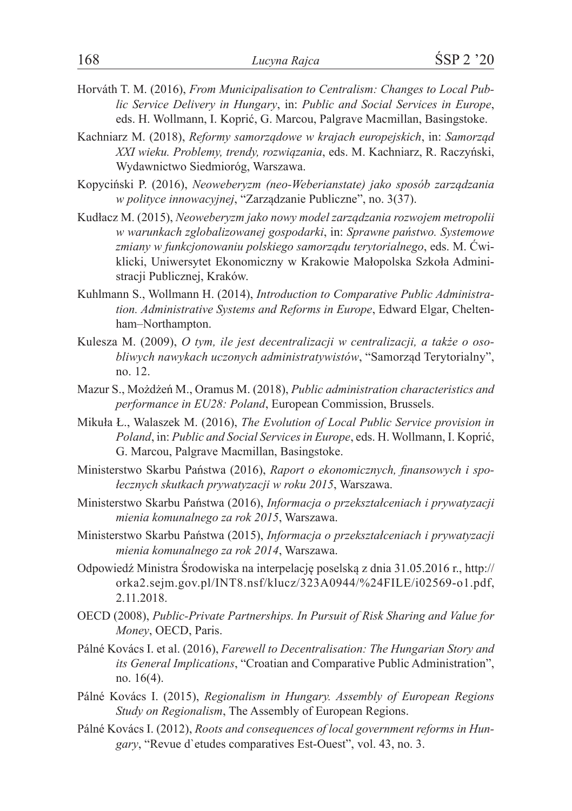- Horváth T. M. (2016), *From Municipalisation to Centralism: Changes to Local Public Service Delivery in Hungary*, in: *Public and Social Services in Europe*, eds. H. Wollmann, I. Koprić, G. Marcou, Palgrave Macmillan, Basingstoke.
- Kachniarz M. (2018), *Reformy samorządowe w krajach europejskich*, in: *Samorząd XXI wieku. Problemy, trendy, rozwiązania*, eds. M. Kachniarz, R. Raczyński, Wydawnictwo Siedmioróg, Warszawa.
- Kopyciński P. (2016), *Neoweberyzm (neo-Weberianstate) jako sposób zarządzania w polityce innowacyjnej*, "Zarządzanie Publiczne", no. 3(37).
- Kudłacz M. (2015), *Neoweberyzm jako nowy model zarządzania rozwojem metropolii w warunkach zglobalizowanej gospodarki*, in: *Sprawne państwo. Systemowe zmiany w funkcjonowaniu polskiego samorządu terytorialnego*, eds. M. Ćwiklicki, Uniwersytet Ekonomiczny w Krakowie Małopolska Szkoła Administracji Publicznej, Kraków.
- Kuhlmann S., Wollmann H. (2014), *Introduction to Comparative Public Administration. Administrative Systems and Reforms in Europe*, Edward Elgar, Cheltenham–Northampton.
- Kulesza M. (2009), *O tym, ile jest decentralizacji w centralizacji, a także o osobliwych nawykach uczonych administratywistów*, "Samorząd Terytorialny", no. 12.
- Mazur S., Możdżeń M., Oramus M. (2018), *Public administration characteristics and performance in EU28: Poland*, European Commission, Brussels.
- Mikuła Ł., Walaszek M. (2016), *The Evolution of Local Public Service provision in Poland*, in: *Public and Social Services in Europe*, eds. H. Wollmann, I. Koprić, G. Marcou, Palgrave Macmillan, Basingstoke.
- Ministerstwo Skarbu Państwa (2016), *Raport o ekonomicznych, finansowych i społecznych skutkach prywatyzacji w roku 2015*, Warszawa.
- Ministerstwo Skarbu Państwa (2016), *Informacja o przekształceniach i prywatyzacji mienia komunalnego za rok 2015*, Warszawa.
- Ministerstwo Skarbu Państwa (2015), *Informacja o przekształceniach i prywatyzacji mienia komunalnego za rok 2014*, Warszawa.
- Odpowiedź Ministra Środowiska na interpelację poselską z dnia 31.05.2016 r., http:// orka2.sejm.gov.pl/INT8.nsf/klucz/323A0944/%24FILE/i02569-o1.pdf, 2.11.2018.
- OECD (2008), *Public-Private Partnerships. In Pursuit of Risk Sharing and Value for Money*, OECD, Paris.
- Pálné Kovács I. et al. (2016), *Farewell to Decentralisation: The Hungarian Story and its General Implications*, "Croatian and Comparative Public Administration", no. 16(4).
- Pálné Kovács I. (2015), *Regionalism in Hungary. Assembly of European Regions Study on Regionalism*, The Assembly of European Regions.
- Pálné Kovács I. (2012), *Roots and consequences of local government reforms in Hungary*, "Revue d`etudes comparatives Est-Ouest", vol. 43, no. 3.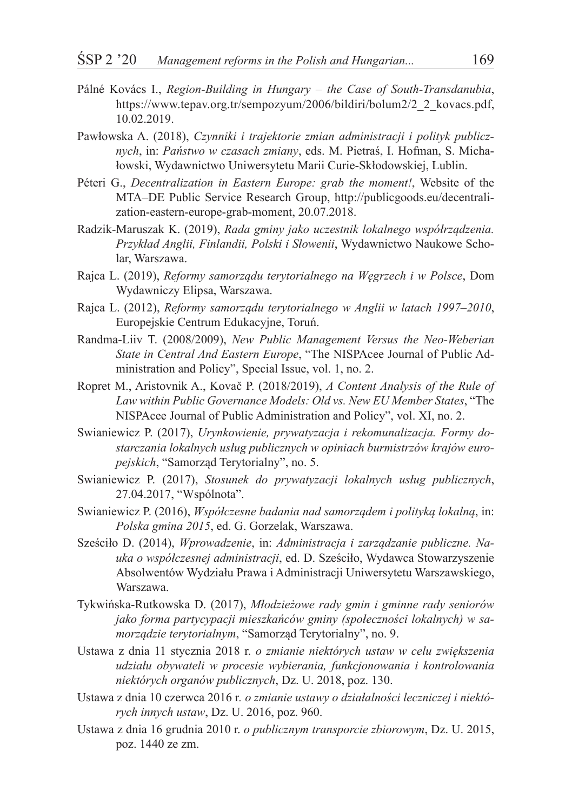- Pálné Kovács I., *Region-Building in Hungary the Case of South-Transdanubia*, https://www.tepav.org.tr/sempozyum/2006/bildiri/bolum2/2\_2\_kovacs.pdf, 10.02.2019.
- Pawłowska A. (2018), *Czynniki i trajektorie zmian administracji i polityk publicznych*, in: *Państwo w czasach zmiany*, eds. M. Pietraś, I. Hofman, S. Michałowski, Wydawnictwo Uniwersytetu Marii Curie-Skłodowskiej, Lublin.
- Péteri G., *Decentralization in Eastern Europe: grab the moment!*, Website of the MTA–DE Public Service Research Group, http://publicgoods.eu/decentralization-eastern-europe-grab-moment, 20.07.2018.
- Radzik-Maruszak K. (2019), *Rada gminy jako uczestnik lokalnego współrządzenia. Przykład Anglii, Finlandii, Polski i Słowenii*, Wydawnictwo Naukowe Scholar, Warszawa.
- Rajca L. (2019), *Reformy samorządu terytorialnego na Węgrzech i w Polsce*, Dom Wydawniczy Elipsa, Warszawa.
- Rajca L. (2012), *Reformy samorządu terytorialnego w Anglii w latach 1997–2010*, Europejskie Centrum Edukacyjne, Toruń.
- Randma-Liiv T. (2008/2009), *New Public Management Versus the Neo-Weberian State in Central And Eastern Europe*, "The NISPAcee Journal of Public Administration and Policy", Special Issue, vol. 1, no. 2.
- Ropret M., Aristovnik A., Kovač P. (2018/2019), *A Content Analysis of the Rule of Law within Public Governance Models: Old vs. New EU Member States*, "The NISPAcee Journal of Public Administration and Policy", vol. XI, no. 2.
- Swianiewicz P. (2017), *Urynkowienie, prywatyzacja i rekomunalizacja. Formy dostarczania lokalnych usług publicznych w opiniach burmistrzów krajów europejskich*, "Samorząd Terytorialny", no. 5.
- Swianiewicz P. (2017), *Stosunek do prywatyzacji lokalnych usług publicznych*, 27.04.2017, "Wspólnota".
- Swianiewicz P. (2016), *Współczesne badania nad samorządem i polityką lokalną*, in: *Polska gmina 2015*, ed. G. Gorzelak, Warszawa.
- Sześciło D. (2014), *Wprowadzenie*, in: *Administracja i zarządzanie publiczne. Nauka o współczesnej administracji*, ed. D. Sześciło, Wydawca Stowarzyszenie Absolwentów Wydziału Prawa i Administracji Uniwersytetu Warszawskiego, Warszawa.
- Tykwińska-Rutkowska D. (2017), *Młodzieżowe rady gmin i gminne rady seniorów jako forma partycypacji mieszkańców gminy (społeczności lokalnych) w samorządzie terytorialnym*, "Samorząd Terytorialny", no. 9.
- Ustawa z dnia 11 stycznia 2018 r. *o zmianie niektórych ustaw w celu zwiększenia udziału obywateli w procesie wybierania, funkcjonowania i kontrolowania niektórych organów publicznych*, Dz. U. 2018, poz. 130.
- Ustawa z dnia 10 czerwca 2016 r*. o zmianie ustawy o działalności leczniczej i niektórych innych ustaw*, Dz. U. 2016, poz. 960.
- Ustawa z dnia 16 grudnia 2010 r. *o publicznym transporcie zbiorowym*, Dz. U. 2015, poz. 1440 ze zm.